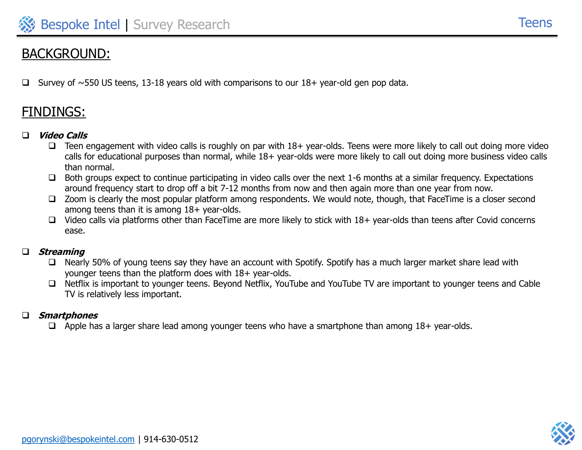# BACKGROUND:

Survey of  $\sim$ 550 US teens, 13-18 years old with comparisons to our 18+ year-old gen pop data.

# FINDINGS:

#### ❑ **Video Calls**

- $\square$  Teen engagement with video calls is roughly on par with  $18+$  year-olds. Teens were more likely to call out doing more video calls for educational purposes than normal, while 18+ year-olds were more likely to call out doing more business video calls than normal.
- ❑ Both groups expect to continue participating in video calls over the next 1-6 months at a similar frequency. Expectations around frequency start to drop off a bit 7-12 months from now and then again more than one year from now.
- ❑ Zoom is clearly the most popular platform among respondents. We would note, though, that FaceTime is a closer second among teens than it is among 18+ year-olds.
- ❑ Video calls via platforms other than FaceTime are more likely to stick with 18+ year-olds than teens after Covid concerns ease.

#### ❑ **Streaming**

- ❑ Nearly 50% of young teens say they have an account with Spotify. Spotify has a much larger market share lead with younger teens than the platform does with 18+ year-olds.
- ❑ Netflix is important to younger teens. Beyond Netflix, YouTube and YouTube TV are important to younger teens and Cable TV is relatively less important.

#### ❑ **Smartphones**

❑ Apple has a larger share lead among younger teens who have a smartphone than among 18+ year-olds.

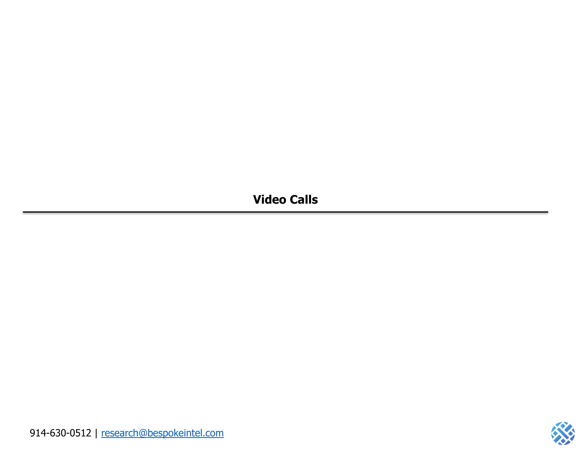**Video Calls**

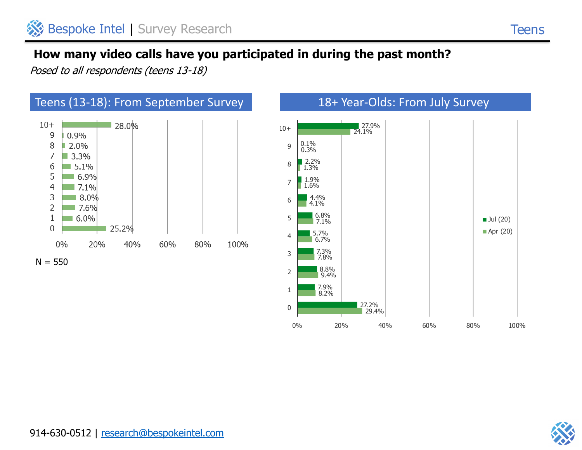Posed to all respondents (teens 13-18)



0

29.4%

0% 20% 40% 60% 80% 100%

27.2%



**Teens**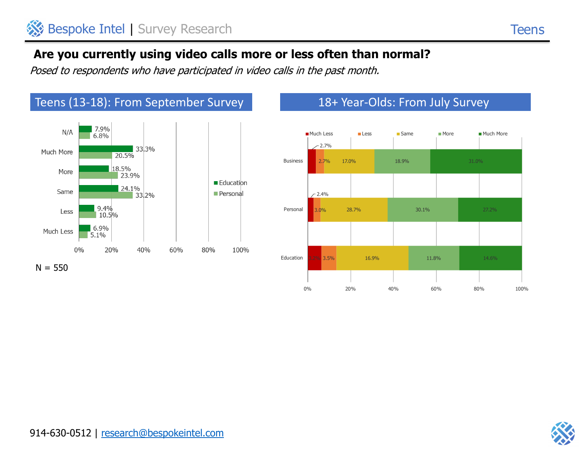## **Are you currently using video calls more or less often than normal?**

Posed to respondents who have participated in video calls in the past month.



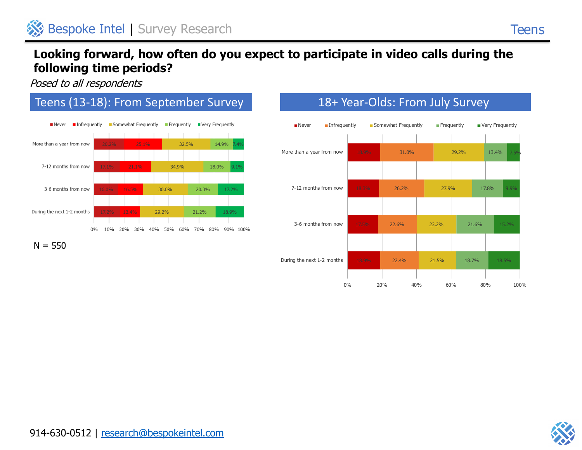### **Looking forward, how often do you expect to participate in video calls during the following time periods?**

Posed to all respondents







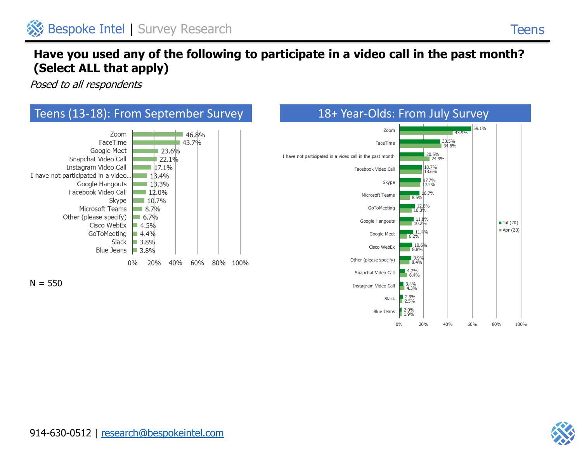## **Have you used any of the following to participate in a video call in the past month? (Select ALL that apply)**

Posed to all respondents





0% 20% 40% 60% 80% 100%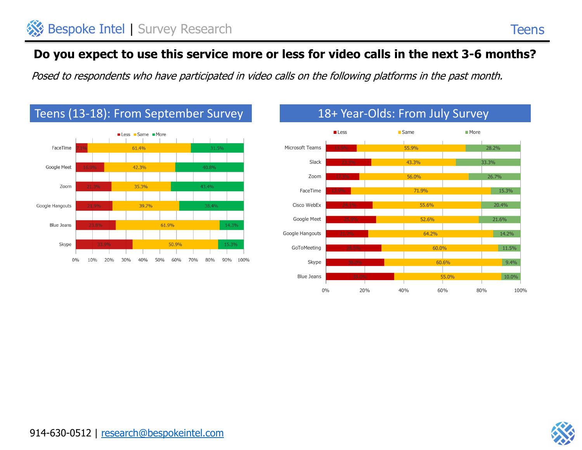# **Do you expect to use this service more or less for video calls in the next 3-6 months?**

Posed to respondents who have participated in video calls on the following platforms in the past month.





# Teens (13-18): From September Survey 18+ Year-Olds: From July Survey

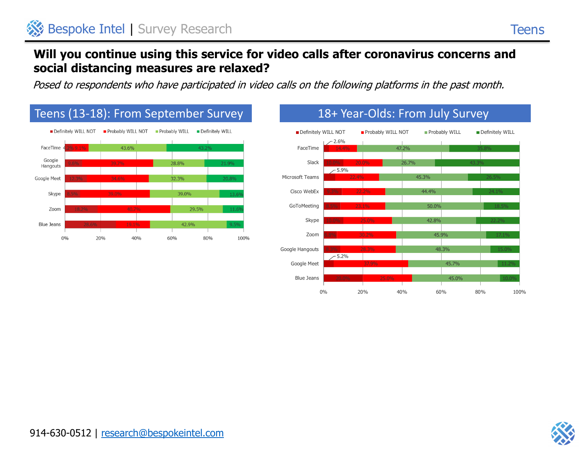0% 20% 40% 60% 80% 100%

### **Will you continue using this service for video calls after coronavirus concerns and social distancing measures are relaxed?**

Posed to respondents who have participated in video calls on the following platforms in the past month.



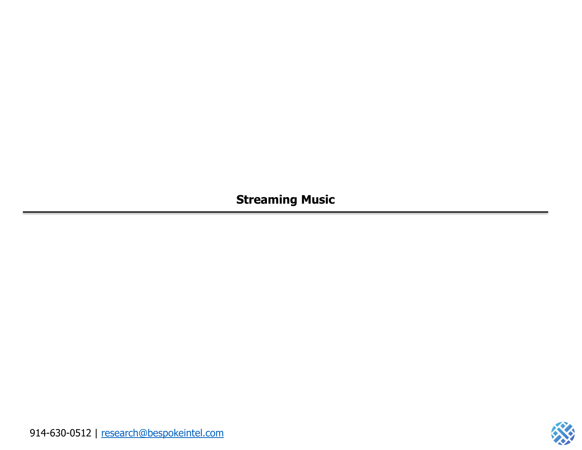**Streaming Music**

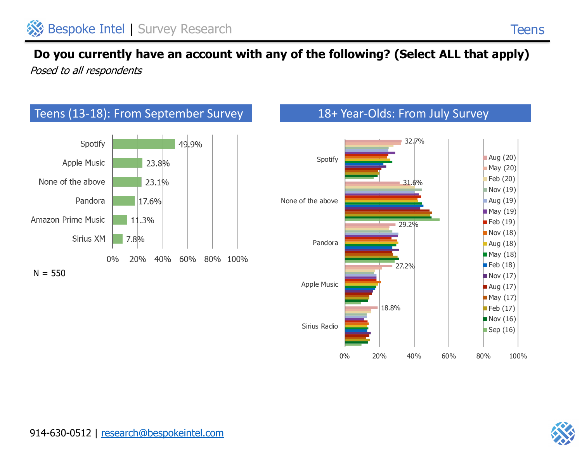Posed to all respondents





**Teens**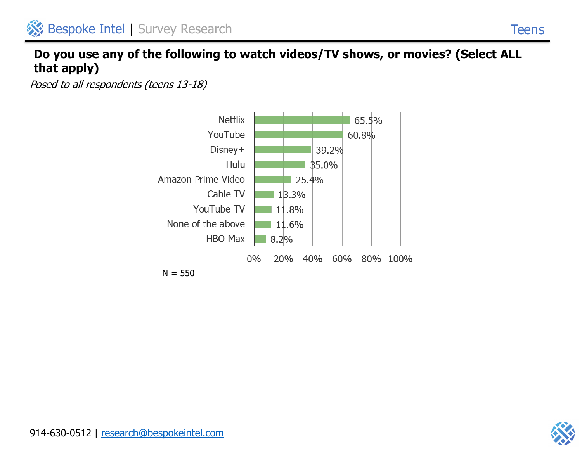### **Do you use any of the following to watch videos/TV shows, or movies? (Select ALL that apply)**

Posed to all respondents (teens 13-18)



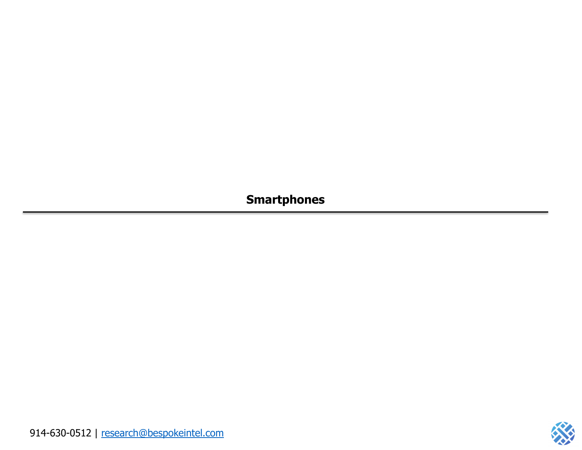**Smartphones**

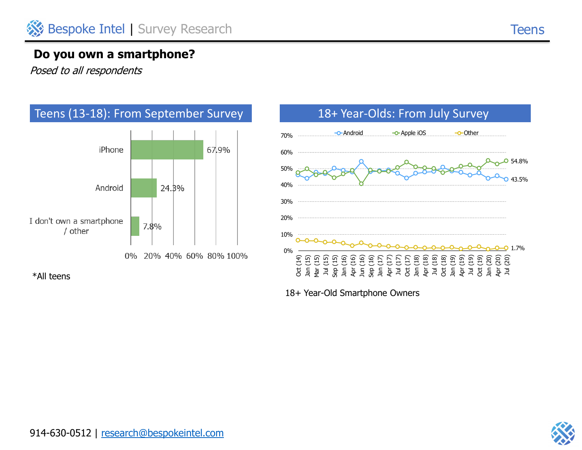#### **Do you own a smartphone?**

Posed to all respondents





18+ Year-Old Smartphone Owners